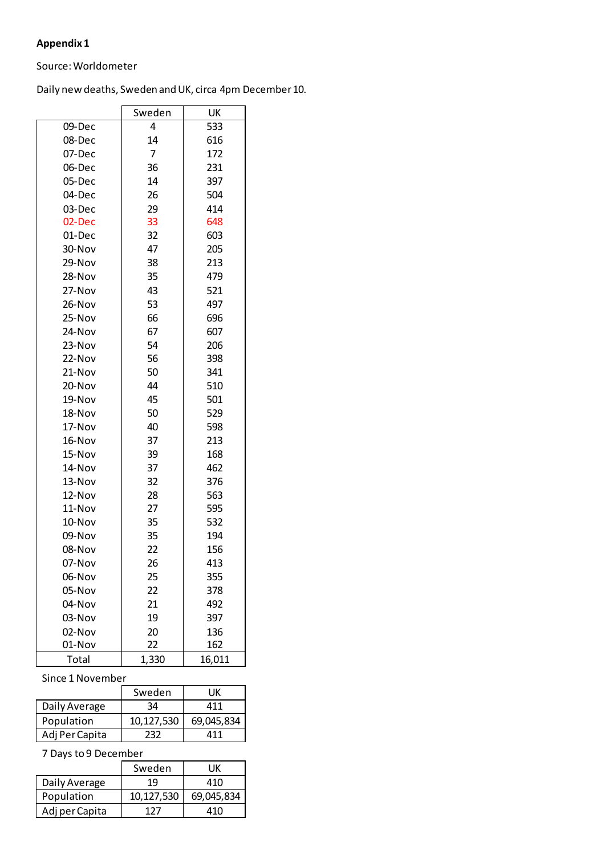# **Appendix 1**

#### Source: Worldometer

# Daily new deaths, Sweden and UK, circa 4pm December 10.

| Sweden   |       | UK     |  |
|----------|-------|--------|--|
| 09-Dec   | 4     | 533    |  |
| 08-Dec   | 14    | 616    |  |
| 07-Dec   | 7     | 172    |  |
| 06-Dec   | 36    | 231    |  |
| 05-Dec   | 14    | 397    |  |
| 04-Dec   | 26    | 504    |  |
| 03-Dec   | 29    | 414    |  |
| 02-Dec   | 33    | 648    |  |
| 01-Dec   | 32    | 603    |  |
| 30-Nov   | 47    | 205    |  |
| 29-Nov   | 38    | 213    |  |
| 28-Nov   | 35    | 479    |  |
| 27-Nov   | 43    | 521    |  |
| $26-Nov$ | 53    | 497    |  |
| 25-Nov   | 66    |        |  |
| 24-Nov   | 67    |        |  |
| 23-Nov   | 54    | 206    |  |
| 22-Nov   | 56    | 398    |  |
| 21-Nov   | 50    | 341    |  |
| 20-Nov   | 44    | 510    |  |
| 19-Nov   | 45    | 501    |  |
| 18-Nov   | 50    | 529    |  |
| 17-Nov   | 40    | 598    |  |
| 16-Nov   | 37    | 213    |  |
| 15-Nov   | 39    | 168    |  |
| 14-Nov   | 37    | 462    |  |
| 13-Nov   | 32    | 376    |  |
| 12-Nov   | 28    | 563    |  |
| 11-Nov   | 27    | 595    |  |
| 10-Nov   | 35    | 532    |  |
| 09-Nov   | 35    | 194    |  |
| 08-Nov   | 22    | 156    |  |
| 07-Nov   | 26    | 413    |  |
| 06-Nov   | 25    | 355    |  |
| 05-Nov   | 22    | 378    |  |
| 04-Nov   | 21    | 492    |  |
| 03-Nov   | 19    | 397    |  |
| 02-Nov   | 20    | 136    |  |
| 01-Nov   | 22    | 162    |  |
| Total    | 1,330 | 16,011 |  |

#### Since 1 November

|                | Sweden     | ιıκ        |
|----------------|------------|------------|
| Daily Average  | 34         | 411        |
| Population     | 10,127,530 | 69,045,834 |
| Adj Per Capita | 232        | 411        |

### 7 Days to 9 December

|                | Sweden     | UК         |
|----------------|------------|------------|
| Daily Average  | 19         | 410        |
| Population     | 10,127,530 | 69,045,834 |
| Adj per Capita | 177        | 41 N       |